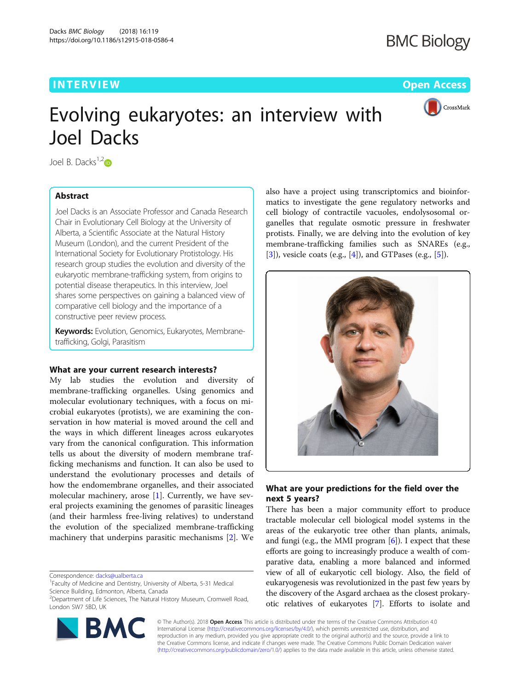## **INTERVIEW CONTROL** CONTROL CONTROL CONTROL CONTROL CONTROL CONTROL CONTROL CONTROL CONTROL CONTROL CONTROL CONTROL CONTROL CONTROL CONTROL CONTROL CONTROL CONTROL CONTROL CONTROL CONTROL CONTROL CONTROL CONTROL CONTROL CO



# Evolving eukaryotes: an interview with Joel Dacks

Joel B. Dacks $1,2$  $1,2$ <sub>D</sub>

## Abstract

Joel Dacks is an Associate Professor and Canada Research Chair in Evolutionary Cell Biology at the University of Alberta, a Scientific Associate at the Natural History Museum (London), and the current President of the International Society for Evolutionary Protistology. His research group studies the evolution and diversity of the eukaryotic membrane-trafficking system, from origins to potential disease therapeutics. In this interview, Joel shares some perspectives on gaining a balanced view of comparative cell biology and the importance of a constructive peer review process.

**Keywords:** Evolution, Genomics, Eukaryotes, Membranetrafficking, Golgi, Parasitism

## What are your current research interests?

My lab studies the evolution and diversity of membrane-trafficking organelles. Using genomics and molecular evolutionary techniques, with a focus on microbial eukaryotes (protists), we are examining the conservation in how material is moved around the cell and the ways in which different lineages across eukaryotes vary from the canonical configuration. This information tells us about the diversity of modern membrane trafficking mechanisms and function. It can also be used to understand the evolutionary processes and details of how the endomembrane organelles, and their associated molecular machinery, arose [[1\]](#page-1-0). Currently, we have several projects examining the genomes of parasitic lineages (and their harmless free-living relatives) to understand the evolution of the specialized membrane-trafficking machinery that underpins parasitic mechanisms [\[2](#page-1-0)]. We

Correspondence: [dacks@ualberta.ca](mailto:dacks@ualberta.ca) <sup>1</sup>

<sup>&</sup>lt;sup>2</sup>Department of Life Sciences, The Natural History Museum, Cromwell Road, London SW7 5BD, UK



also have a project using transcriptomics and bioinformatics to investigate the gene regulatory networks and cell biology of contractile vacuoles, endolysosomal organelles that regulate osmotic pressure in freshwater protists. Finally, we are delving into the evolution of key membrane-trafficking families such as SNAREs (e.g.,  $[3]$  $[3]$ , vesicle coats (e.g.,  $[4]$  $[4]$ ), and GTPases (e.g.,  $[5]$  $[5]$ ).



## What are your predictions for the field over the next 5 years?

There has been a major community effort to produce tractable molecular cell biological model systems in the areas of the eukaryotic tree other than plants, animals, and fungi (e.g., the MMI program  $[6]$  $[6]$ ). I expect that these efforts are going to increasingly produce a wealth of comparative data, enabling a more balanced and informed view of all of eukaryotic cell biology. Also, the field of eukaryogenesis was revolutionized in the past few years by the discovery of the Asgard archaea as the closest prokaryotic relatives of eukaryotes [[7\]](#page-1-0). Efforts to isolate and

© The Author(s). 2018 Open Access This article is distributed under the terms of the Creative Commons Attribution 4.0 International License [\(http://creativecommons.org/licenses/by/4.0/](http://creativecommons.org/licenses/by/4.0/)), which permits unrestricted use, distribution, and reproduction in any medium, provided you give appropriate credit to the original author(s) and the source, provide a link to the Creative Commons license, and indicate if changes were made. The Creative Commons Public Domain Dedication waiver [\(http://creativecommons.org/publicdomain/zero/1.0/](http://creativecommons.org/publicdomain/zero/1.0/)) applies to the data made available in this article, unless otherwise stated.

<sup>&</sup>lt;sup>1</sup> Faculty of Medicine and Dentistry, University of Alberta, 5-31 Medical Science Building, Edmonton, Alberta, Canada